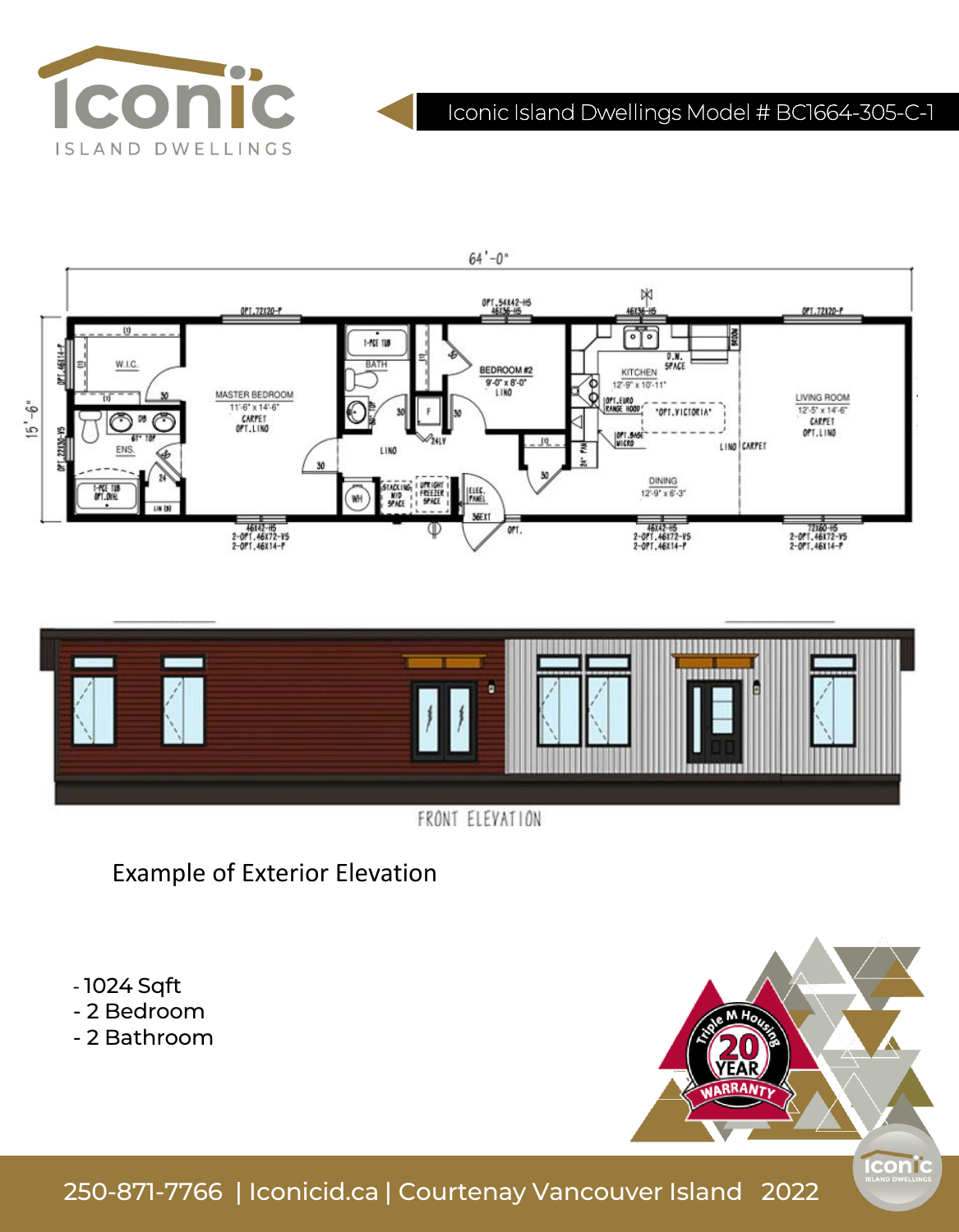

# Iconic Island Dwellings Model # BC1664-305-C-1





FRONT ELEVATION

Example of Exterior Elevation

- 1024 Sqft

- 2 Bedroom

- 2 Bathroom



250-871-7766 | Iconicid.ca | Courtenay Vancouver Island 2022